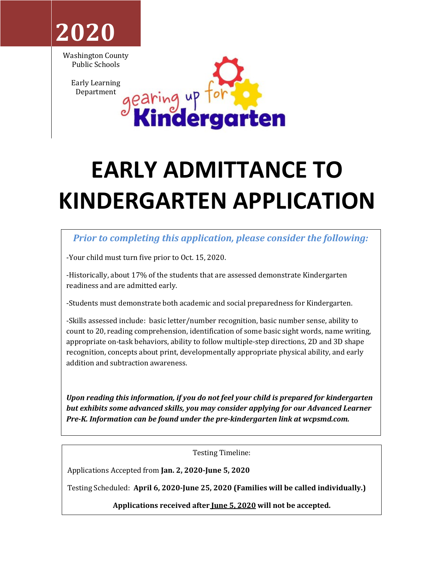

Washington County Public Schools

> Early Learning Department



# **EARLY ADMITTANCE TO KINDERGARTEN APPLICATION**

## *Prior to completing this application, please consider the following:*

-Your child must turn five prior to Oct. 15, 2020.

-Historically, about 17% of the students that are assessed demonstrate Kindergarten readiness and are admitted early.

-Students must demonstrate both academic and social preparedness for Kindergarten.

-Skills assessed include: basic letter/number recognition, basic number sense, ability to count to 20, reading comprehension, identification of some basic sight words, name writing, appropriate on-task behaviors, ability to follow multiple-step directions, 2D and 3D shape recognition, concepts about print, developmentally appropriate physical ability, and early addition and subtraction awareness.

Upon reading this information, if you do not feel your child is prepared for kindergarten **but exhibits some advanced skills, you may consider applying for our Advanced Learner** *Pre-K. Information can be found under the pre-kindergarten link at wcpsmd.com.* 

Testing Timeline:

Applications Accepted from **Jan. 2, 2020-June 5, 2020** 

Testing Scheduled: April 6, 2020-June 25, 2020 (Families will be called individually.)

Applications received after <u>Iune 5, 2020</u> will not be accepted.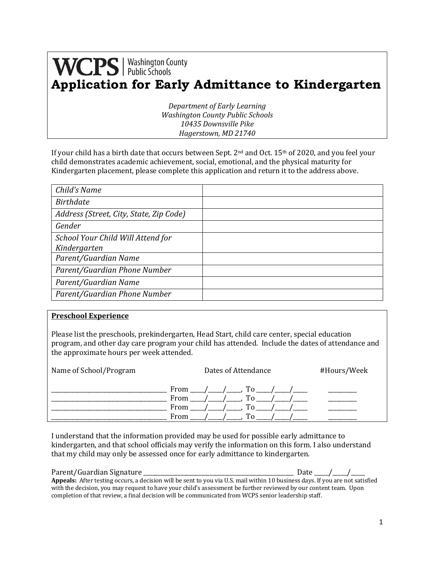# **WCPS** | Washington County **Application for Early Admittance to Kindergarten**

*Department of Early Learning Washington County Public Schools 10435 Downsville Pike Hagerstown, MD 21740*

If your child has a birth date that occurs between Sept.  $2^{nd}$  and Oct. 15<sup>th</sup> of 2020, and you feel your child demonstrates academic achievement, social, emotional, and the physical maturity for Kindergarten placement, please complete this application and return it to the address above.

| Child's Name                            |  |
|-----------------------------------------|--|
| <b>Birthdate</b>                        |  |
| Address (Street, City, State, Zip Code) |  |
| Gender                                  |  |
| School Your Child Will Attend for       |  |
| Kindergarten                            |  |
| Parent/Guardian Name                    |  |
| Parent/Guardian Phone Number            |  |
| Parent/Guardian Name                    |  |
| Parent/Guardian Phone Number            |  |

#### **Preschool Experience**

Please list the preschools, prekindergarten, Head Start, child care center, special education program, and other day care program your child has attended. Include the dates of attendance and the approximate hours per week attended.

| Name of School/Program | Dates of Attendance                             | #Hours/Week |
|------------------------|-------------------------------------------------|-------------|
|                        | From<br>Тo<br>From<br>To<br>From<br>TO.<br>From |             |

I understand that the information provided may be used for possible early admittance to kindergarten, and that school officials may verify the information on this form. I also understand that my child may only be assessed once for early admittance to kindergarten.

| Parent/Guardian Signature                                                                                                     | Date / / |  |
|-------------------------------------------------------------------------------------------------------------------------------|----------|--|
| Appeals: After testing occurs, a decision will be sent to you via U.S. mail within 10 business days. If you are not satisfied |          |  |
| with the decision, you may request to have your child's assessment be further reviewed by our content team. Upon              |          |  |
| completion of that review, a final decision will be communicated from WCPS senior leadership staff.                           |          |  |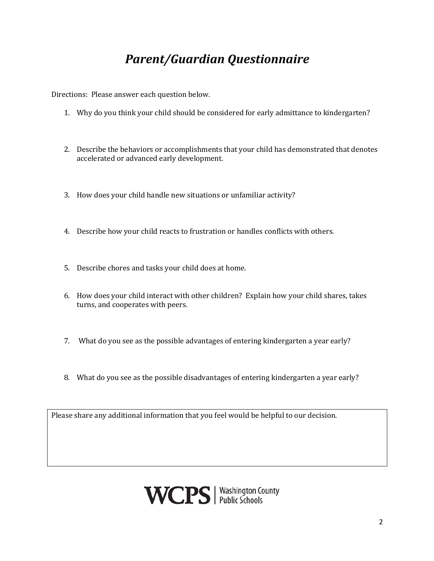# *Parent/Guardian Questionnaire*

Directions: Please answer each question below.

- 1. Why do you think your child should be considered for early admittance to kindergarten?
- 2. Describe the behaviors or accomplishments that your child has demonstrated that denotes accelerated or advanced early development.
- 3. How does your child handle new situations or unfamiliar activity?
- 4. Describe how your child reacts to frustration or handles conflicts with others.
- 5. Describe chores and tasks your child does at home.
- 6. How does your child interact with other children? Explain how your child shares, takes turns, and cooperates with peers.
- 7. What do you see as the possible advantages of entering kindergarten a year early?
- 8. What do you see as the possible disadvantages of entering kindergarten a year early?

Please share any additional information that you feel would be helpful to our decision.